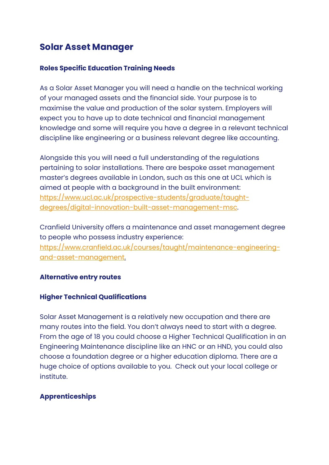# **Solar Asset Manager**

## **Roles Specific Education Training Needs**

As a Solar Asset Manager you will need a handle on the technical working of your managed assets and the financial side. Your purpose is to maximise the value and production of the solar system. Employers will expect you to have up to date technical and financial management knowledge and some will require you have a degree in a relevant technical discipline like engineering or a business relevant degree like accounting.

Alongside this you will need a full understanding of the regulations pertaining to solar installations. There are bespoke asset management master's degrees available in London, such as this one at UCL which is aimed at people with a background in the built environment: [https://www.ucl.ac.uk/prospective-students/graduate/taught](https://www.ucl.ac.uk/prospective-students/graduate/taught-degrees/digital-innovation-built-asset-management-msc)[degrees/digital-innovation-built-asset-management-msc.](https://www.ucl.ac.uk/prospective-students/graduate/taught-degrees/digital-innovation-built-asset-management-msc)

Cranfield University offers a maintenance and asset management degree to people who possess industry experience: [https://www.cranfield.ac.uk/courses/taught/maintenance-engineering](https://www.cranfield.ac.uk/courses/taught/maintenance-engineering-and-asset-management)[and-asset-management.](https://www.cranfield.ac.uk/courses/taught/maintenance-engineering-and-asset-management)

### **Alternative entry routes**

### **Higher Technical Qualifications**

Solar Asset Management is a relatively new occupation and there are many routes into the field. You don't always need to start with a degree. From the age of 18 you could choose a Higher Technical Qualification in an Engineering Maintenance discipline like an HNC or an HND, you could also choose a foundation degree or a higher education diploma. There are a huge choice of options available to you. Check out your local college or institute.

## **Apprenticeships**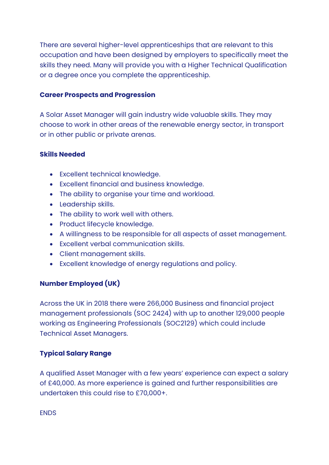There are several higher-level apprenticeships that are relevant to this occupation and have been designed by employers to specifically meet the skills they need. Many will provide you with a Higher Technical Qualification or a degree once you complete the apprenticeship.

#### **Career Prospects and Progression**

A Solar Asset Manager will gain industry wide valuable skills. They may choose to work in other areas of the renewable energy sector, in transport or in other public or private arenas.

#### **Skills Needed**

- Excellent technical knowledge.
- Excellent financial and business knowledge.
- The ability to organise your time and workload.
- Leadership skills.
- The ability to work well with others.
- Product lifecycle knowledge.
- A willingness to be responsible for all aspects of asset management.
- Excellent verbal communication skills.
- Client management skills.
- Excellent knowledge of energy regulations and policy.

## **Number Employed (UK)**

Across the UK in 2018 there were 266,000 Business and financial project management professionals (SOC 2424) with up to another 129,000 people working as Engineering Professionals (SOC2129) which could include Technical Asset Managers.

## **Typical Salary Range**

A qualified Asset Manager with a few years' experience can expect a salary of £40,000. As more experience is gained and further responsibilities are undertaken this could rise to £70,000+.

**FNDS**